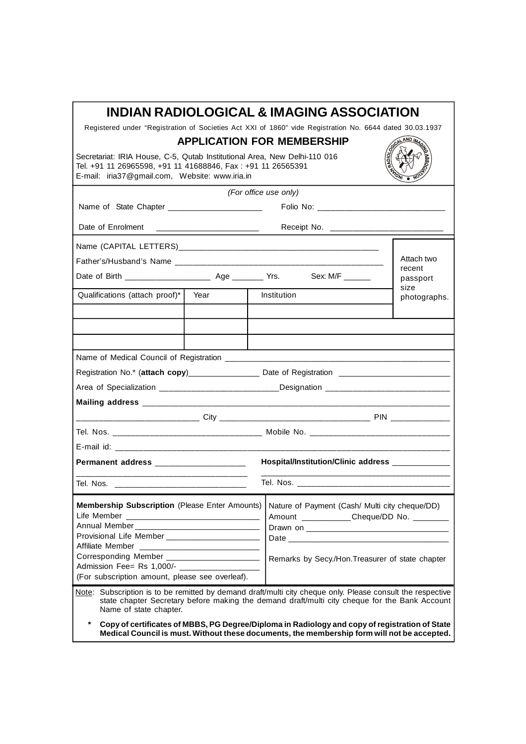| INDIAN RADIOLOGICAL & IMAGING ASSOCIATION                                                                                                                                                                                             |                                   |                                                                                                     |                                                 |              |                  |  |
|---------------------------------------------------------------------------------------------------------------------------------------------------------------------------------------------------------------------------------------|-----------------------------------|-----------------------------------------------------------------------------------------------------|-------------------------------------------------|--------------|------------------|--|
| Registered under "Registration of Societies Act XXI of 1860" vide Registration No. 6644 dated 30.03.1937                                                                                                                              |                                   |                                                                                                     |                                                 |              |                  |  |
|                                                                                                                                                                                                                                       | <b>APPLICATION FOR MEMBERSHIP</b> |                                                                                                     |                                                 |              |                  |  |
| Secretariat: IRIA House, C-5, Qutab Institutional Area, New Delhi-110 016<br>Tel. +91 11 26965598, +91 11 41688846, Fax: +91 11 26565391<br>E-mail: iria37@gmail.com, Website: www.iria.in                                            |                                   |                                                                                                     |                                                 |              |                  |  |
| (For office use only)                                                                                                                                                                                                                 |                                   |                                                                                                     |                                                 |              |                  |  |
| Name of State Chapter _________________________                                                                                                                                                                                       |                                   |                                                                                                     |                                                 |              |                  |  |
| Date of Enrolment                                                                                                                                                                                                                     |                                   |                                                                                                     |                                                 |              |                  |  |
|                                                                                                                                                                                                                                       |                                   |                                                                                                     |                                                 |              |                  |  |
| Attach two                                                                                                                                                                                                                            |                                   |                                                                                                     |                                                 |              |                  |  |
|                                                                                                                                                                                                                                       |                                   | recent                                                                                              |                                                 |              |                  |  |
|                                                                                                                                                                                                                                       |                                   |                                                                                                     |                                                 |              | passport<br>size |  |
| Qualifications (attach proof)*                                                                                                                                                                                                        | Year                              | Institution                                                                                         |                                                 | photographs. |                  |  |
|                                                                                                                                                                                                                                       |                                   |                                                                                                     |                                                 |              |                  |  |
|                                                                                                                                                                                                                                       |                                   |                                                                                                     |                                                 |              |                  |  |
|                                                                                                                                                                                                                                       |                                   |                                                                                                     |                                                 |              |                  |  |
|                                                                                                                                                                                                                                       |                                   |                                                                                                     |                                                 |              |                  |  |
|                                                                                                                                                                                                                                       |                                   |                                                                                                     |                                                 |              |                  |  |
| Registration No.* (attach copy)___________________ Date of Registration ____________________________                                                                                                                                  |                                   | Area of Specialization ________________________________Designation ________________________________ |                                                 |              |                  |  |
|                                                                                                                                                                                                                                       |                                   |                                                                                                     |                                                 |              |                  |  |
|                                                                                                                                                                                                                                       |                                   |                                                                                                     |                                                 |              |                  |  |
|                                                                                                                                                                                                                                       |                                   |                                                                                                     |                                                 |              |                  |  |
|                                                                                                                                                                                                                                       |                                   |                                                                                                     |                                                 |              |                  |  |
|                                                                                                                                                                                                                                       |                                   |                                                                                                     |                                                 |              |                  |  |
| Hospital/Institution/Clinic address _____________<br>Permanent address ______________________                                                                                                                                         |                                   |                                                                                                     |                                                 |              |                  |  |
| Tel. Nos. ___________<br>Tel. Nos. _____                                                                                                                                                                                              |                                   |                                                                                                     |                                                 |              |                  |  |
|                                                                                                                                                                                                                                       |                                   |                                                                                                     |                                                 |              |                  |  |
| <b>Membership Subscription (Please Enter Amounts)</b>                                                                                                                                                                                 |                                   |                                                                                                     | Nature of Payment (Cash/ Multi city cheque/DD)  |              |                  |  |
|                                                                                                                                                                                                                                       |                                   |                                                                                                     | Amount ____________Cheque/DD No. _________      |              |                  |  |
|                                                                                                                                                                                                                                       |                                   |                                                                                                     |                                                 |              |                  |  |
| Provisional Life Member __________________________                                                                                                                                                                                    |                                   |                                                                                                     |                                                 |              |                  |  |
| Corresponding Member _________________________                                                                                                                                                                                        |                                   |                                                                                                     |                                                 |              |                  |  |
| Admission Fee= Rs 1,000/- ____________________                                                                                                                                                                                        |                                   |                                                                                                     | Remarks by Secy./Hon.Treasurer of state chapter |              |                  |  |
| (For subscription amount, please see overleaf).                                                                                                                                                                                       |                                   |                                                                                                     |                                                 |              |                  |  |
| Note: Subscription is to be remitted by demand draft/multi city cheque only. Please consult the respective<br>state chapter Secretary before making the demand draft/multi city cheque for the Bank Account<br>Name of state chapter. |                                   |                                                                                                     |                                                 |              |                  |  |
| $\star$<br>Copy of certificates of MBBS, PG Degree/Diploma in Radiology and copy of registration of State<br>Medical Council is must. Without these documents, the membership form will not be accepted.                              |                                   |                                                                                                     |                                                 |              |                  |  |